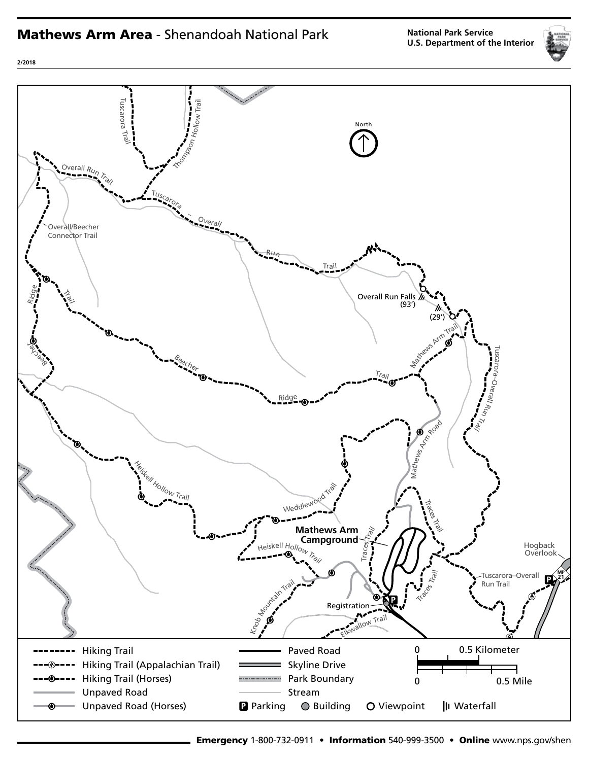# Mathews Arm Area - Shenandoah National Park

**National Park Service U.S. Department of the Interior**





**2/2018**